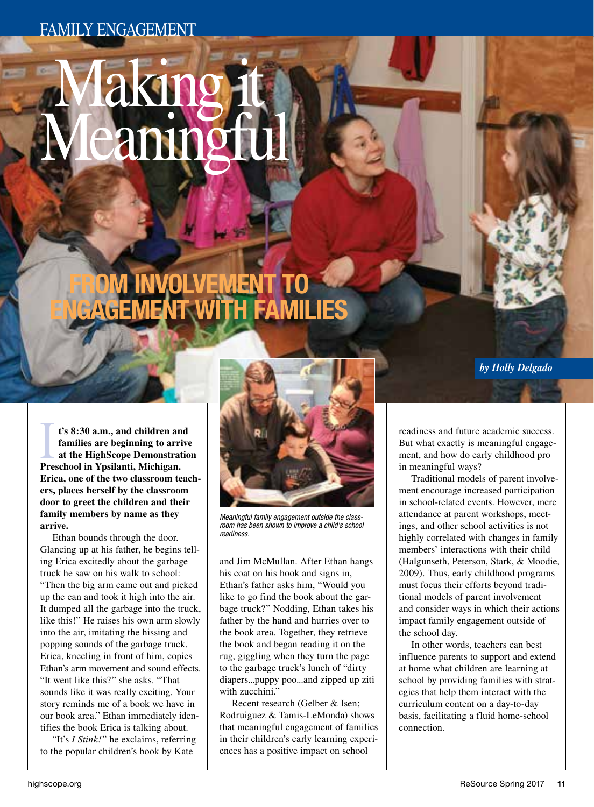# Making it<br>Meaningful

# **FROM INVOLVEMENT ENGAGEMENT WITH FAMIL**

*t***'s 8:30 a.m., and children an families are beginning to arri at the HighScope Demonstrat Preschool in Ypsilanti, Michigan. t's 8:30 a.m., and children and families are beginning to arrive at the HighScope Demonstration Erica, one of the two classroom teachers, places herself by the classroom door to greet the children and their family members by name as they arrive.** 

Ethan bounds through the door. Glancing up at his father, he begins telling Erica excitedly about the garbage truck he saw on his walk to school: "Then the big arm came out and picked up the can and took it high into the air. It dumped all the garbage into the truck, like this!" He raises his own arm slowly into the air, imitating the hissing and popping sounds of the garbage truck. Erica, kneeling in front of him, copies Ethan's arm movement and sound effects. "It went like this?" she asks. "That sounds like it was really exciting. Your story reminds me of a book we have in our book area." Ethan immediately identifies the book Erica is talking about.

"It's *I Stink!*" he exclaims, referring to the popular children's book by Kate



*Meaningful family engagement outside the classroom has been shown to improve a child's school readiness.*

and Jim McMullan. After Ethan hangs his coat on his hook and signs in, Ethan's father asks him, "Would you like to go find the book about the garbage truck?" Nodding, Ethan takes his father by the hand and hurries over to the book area. Together, they retrieve the book and began reading it on the rug, giggling when they turn the page to the garbage truck's lunch of "dirty diapers...puppy poo...and zipped up ziti with zucchini."

Recent research (Gelber & Isen; Rodruiguez & Tamis-LeMonda) shows that meaningful engagement of families in their children's early learning experiences has a positive impact on school

readiness and future academic success. But what exactly is meaningful engagement, and how do early childhood pro in meaningful ways?

Traditional models of parent involvement encourage increased participation in school-related events. However, mere attendance at parent workshops, meetings, and other school activities is not highly correlated with changes in family members' interactions with their child (Halgunseth, Peterson, Stark, & Moodie, 2009). Thus, early childhood programs must focus their efforts beyond traditional models of parent involvement and consider ways in which their actions impact family engagement outside of the school day.

In other words, teachers can best influence parents to support and extend at home what children are learning at school by providing families with strategies that help them interact with the curriculum content on a day-to-day basis, facilitating a fluid home-school connection.

*by Holly Delgado*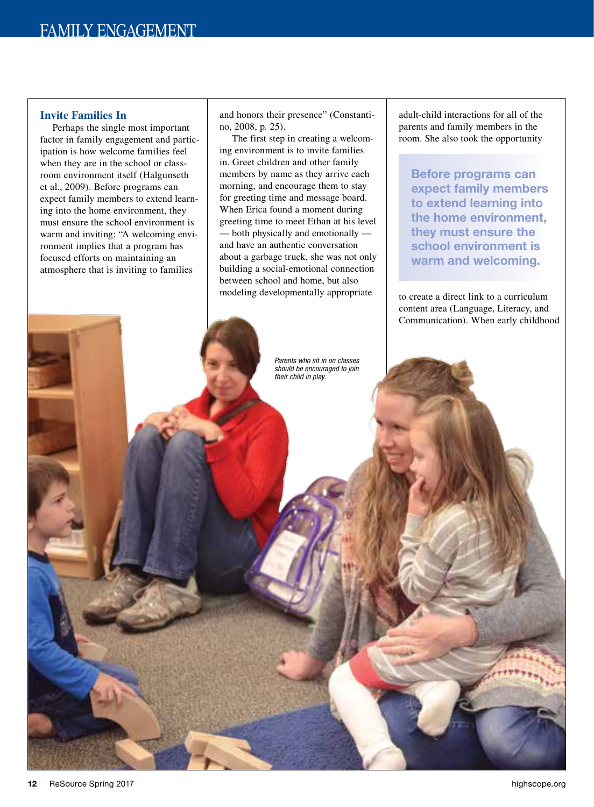### **Invite Families In**

Perhaps the single most important factor in family engagement and participation is how welcome families feel when they are in the school or classroom environment itself (Halgunseth et al., 2009). Before programs can expect family members to extend learning into the home environment, they must ensure the school environment is warm and inviting: "A welcoming environment implies that a program has focused efforts on maintaining an atmosphere that is inviting to families

and honors their presence" (Constantino, 2008, p. 25).

The first step in creating a welcoming environment is to invite families in. Greet children and other family members by name as they arrive each morning, and encourage them to stay for greeting time and message board. When Erica found a moment during greeting time to meet Ethan at his level — both physically and emotionally and have an authentic conversation about a garbage truck, she was not only building a social-emotional connection between school and home, but also modeling developmentally appropriate

adult-child interactions for all of the parents and family members in the room. She also took the opportunity

**Before programs can expect family members to extend learning into the home environment, they must ensure the school environment is warm and welcoming.**

to create a direct link to a curriculum content area (Language, Literacy, and Communication). When early childhood

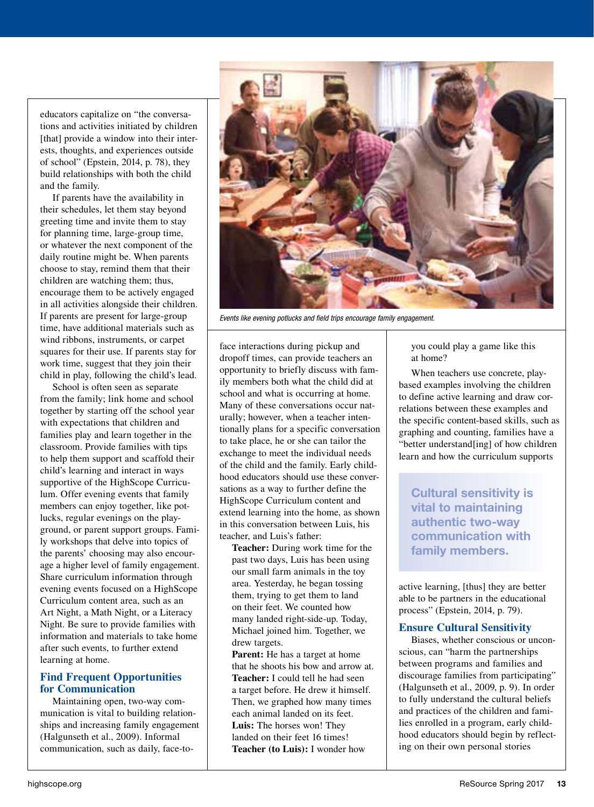educators capitalize on "the conversations and activities initiated by children [that] provide a window into their interests, thoughts, and experiences outside of school" (Epstein, 2014, p. 78), they build relationships with both the child and the family.

If parents have the availability in their schedules, let them stay beyond greeting time and invite them to stay for planning time, large-group time, or whatever the next component of the daily routine might be. When parents choose to stay, remind them that their children are watching them; thus, encourage them to be actively engaged in all activities alongside their children. If parents are present for large-group time, have additional materials such as wind ribbons, instruments, or carpet squares for their use. If parents stay for work time, suggest that they join their child in play, following the child's lead.

School is often seen as separate from the family; link home and school together by starting off the school year with expectations that children and families play and learn together in the classroom. Provide families with tips to help them support and scaffold their child's learning and interact in ways supportive of the HighScope Curriculum. Offer evening events that family members can enjoy together, like potlucks, regular evenings on the playground, or parent support groups. Family workshops that delve into topics of the parents' choosing may also encourage a higher level of family engagement. Share curriculum information through evening events focused on a HighScope Curriculum content area, such as an Art Night, a Math Night, or a Literacy Night. Be sure to provide families with information and materials to take home after such events, to further extend learning at home.

### **Find Frequent Opportunities for Communication**

Maintaining open, two-way communication is vital to building relationships and increasing family engagement (Halgunseth et al., 2009). Informal communication, such as daily, face-to-



*Events like evening potlucks and field trips encourage family engagement.*

face interactions during pickup and dropoff times, can provide teachers an opportunity to briefly discuss with family members both what the child did at school and what is occurring at home. Many of these conversations occur naturally; however, when a teacher intentionally plans for a specific conversation to take place, he or she can tailor the exchange to meet the individual needs of the child and the family. Early childhood educators should use these conversations as a way to further define the HighScope Curriculum content and extend learning into the home, as shown in this conversation between Luis, his teacher, and Luis's father:

**Teacher:** During work time for the past two days, Luis has been using our small farm animals in the toy area. Yesterday, he began tossing them, trying to get them to land on their feet. We counted how many landed right-side-up. Today, Michael joined him. Together, we drew targets.

**Parent:** He has a target at home that he shoots his bow and arrow at. **Teacher:** I could tell he had seen a target before. He drew it himself. Then, we graphed how many times each animal landed on its feet. **Luis:** The horses won! They landed on their feet 16 times! **Teacher (to Luis):** I wonder how

you could play a game like this at home?

When teachers use concrete, playbased examples involving the children to define active learning and draw correlations between these examples and the specific content-based skills, such as graphing and counting, families have a "better understand[ing] of how children learn and how the curriculum supports

**Cultural sensitivity is vital to maintaining authentic two-way communication with family members.**

active learning, [thus] they are better able to be partners in the educational process" (Epstein, 2014, p. 79).

### **Ensure Cultural Sensitivity**

Biases, whether conscious or unconscious, can "harm the partnerships between programs and families and discourage families from participating" (Halgunseth et al., 2009, p. 9). In order to fully understand the cultural beliefs and practices of the children and families enrolled in a program, early childhood educators should begin by reflecting on their own personal stories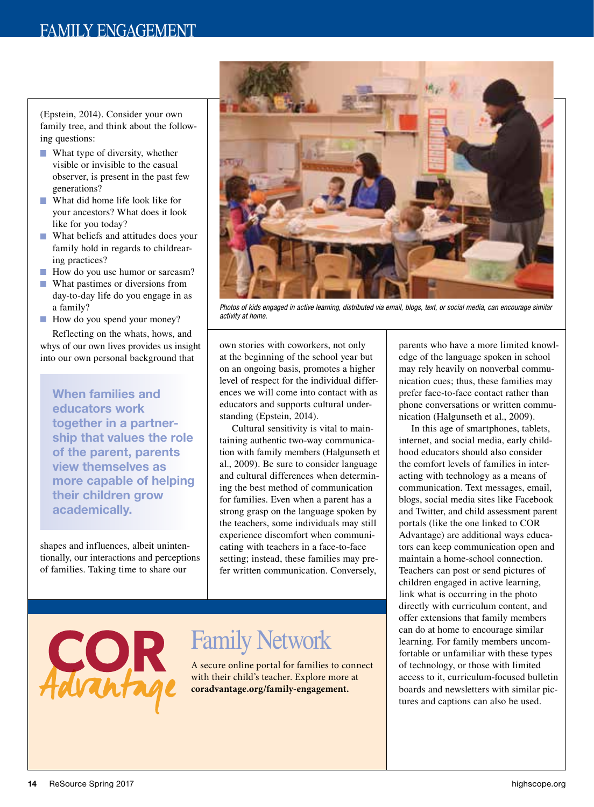(Epstein, 2014). Consider your own family tree, and think about the following questions:

- $\blacksquare$  What type of diversity, whether visible or invisible to the casual observer, is present in the past few generations?
- What did home life look like for your ancestors? What does it look like for you today?
- What beliefs and attitudes does your family hold in regards to childrearing practices?
- How do you use humor or sarcasm?
- What pastimes or diversions from day-to-day life do you engage in as a family?
- How do you spend your money?

Reflecting on the whats, hows, and whys of our own lives provides us insight into our own personal background that

**When families and educators work together in a partnership that values the role of the parent, parents view themselves as more capable of helping their children grow academically.**

shapes and influences, albeit unintentionally, our interactions and perceptions of families. Taking time to share our



*Photos of kids engaged in active learning, distributed via email, blogs, text, or social media, can encourage similar activity at home.*

own stories with coworkers, not only at the beginning of the school year but on an ongoing basis, promotes a higher level of respect for the individual differences we will come into contact with as educators and supports cultural understanding (Epstein, 2014).

Cultural sensitivity is vital to maintaining authentic two-way communication with family members (Halgunseth et al., 2009). Be sure to consider language and cultural differences when determining the best method of communication for families. Even when a parent has a strong grasp on the language spoken by the teachers, some individuals may still experience discomfort when communicating with teachers in a face-to-face setting; instead, these families may prefer written communication. Conversely,

parents who have a more limited knowledge of the language spoken in school may rely heavily on nonverbal communication cues; thus, these families may prefer face-to-face contact rather than phone conversations or written communication (Halgunseth et al., 2009).

In this age of smartphones, tablets, internet, and social media, early childhood educators should also consider the comfort levels of families in interacting with technology as a means of communication. Text messages, email, blogs, social media sites like Facebook and Twitter, and child assessment parent portals (like the one linked to COR Advantage) are additional ways educators can keep communication open and maintain a home-school connection. Teachers can post or send pictures of children engaged in active learning, link what is occurring in the photo directly with curriculum content, and offer extensions that family members can do at home to encourage similar learning. For family members uncomfortable or unfamiliar with these types of technology, or those with limited access to it, curriculum-focused bulletin boards and newsletters with similar pictures and captions can also be used.



## [Family Network](www.coradvantage.org/family-engagement)

A secure online portal for families to connect with their child's teacher. Explore more at **coradvantage.org/family-engagement.**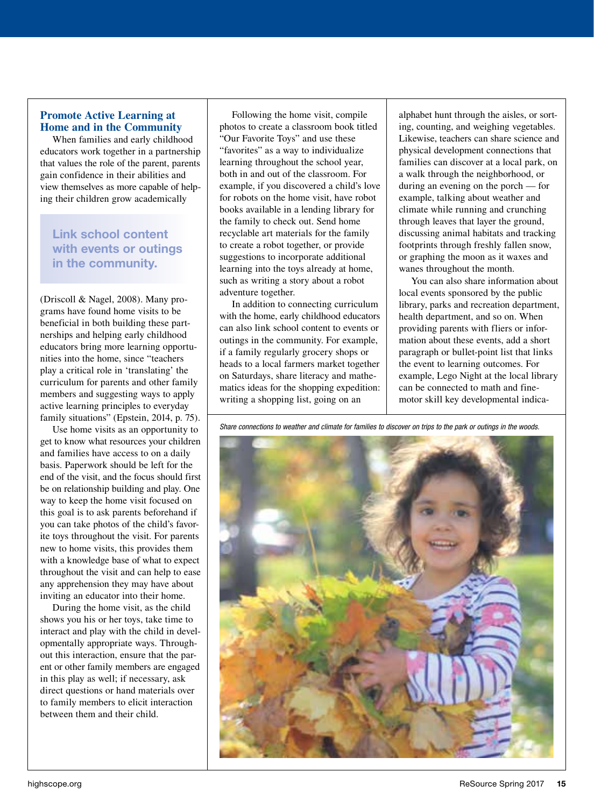### **Promote Active Learning at Home and in the Community**

When families and early childhood educators work together in a partnership that values the role of the parent, parents gain confidence in their abilities and view themselves as more capable of helping their children grow academically

### **Link school content with events or outings in the community.**

(Driscoll & Nagel, 2008). Many programs have found home visits to be beneficial in both building these partnerships and helping early childhood educators bring more learning opportunities into the home, since "teachers play a critical role in 'translating' the curriculum for parents and other family members and suggesting ways to apply active learning principles to everyday family situations" (Epstein, 2014, p. 75).

Use home visits as an opportunity to get to know what resources your children and families have access to on a daily basis. Paperwork should be left for the end of the visit, and the focus should first be on relationship building and play. One way to keep the home visit focused on this goal is to ask parents beforehand if you can take photos of the child's favorite toys throughout the visit. For parents new to home visits, this provides them with a knowledge base of what to expect throughout the visit and can help to ease any apprehension they may have about inviting an educator into their home.

During the home visit, as the child shows you his or her toys, take time to interact and play with the child in developmentally appropriate ways. Throughout this interaction, ensure that the parent or other family members are engaged in this play as well; if necessary, ask direct questions or hand materials over to family members to elicit interaction between them and their child.

Following the home visit, compile photos to create a classroom book titled "Our Favorite Toys" and use these "favorites" as a way to individualize learning throughout the school year, both in and out of the classroom. For example, if you discovered a child's love for robots on the home visit, have robot books available in a lending library for the family to check out. Send home recyclable art materials for the family to create a robot together, or provide suggestions to incorporate additional learning into the toys already at home, such as writing a story about a robot adventure together.

In addition to connecting curriculum with the home, early childhood educators can also link school content to events or outings in the community. For example, if a family regularly grocery shops or heads to a local farmers market together on Saturdays, share literacy and mathematics ideas for the shopping expedition: writing a shopping list, going on an

alphabet hunt through the aisles, or sorting, counting, and weighing vegetables. Likewise, teachers can share science and physical development connections that families can discover at a local park, on a walk through the neighborhood, or during an evening on the porch — for example, talking about weather and climate while running and crunching through leaves that layer the ground, discussing animal habitats and tracking footprints through freshly fallen snow, or graphing the moon as it waxes and wanes throughout the month.

You can also share information about local events sponsored by the public library, parks and recreation department, health department, and so on. When providing parents with fliers or information about these events, add a short paragraph or bullet-point list that links the event to learning outcomes. For example, Lego Night at the local library can be connected to math and finemotor skill key developmental indica-

*Share connections to weather and climate for families to discover on trips to the park or outings in the woods.*